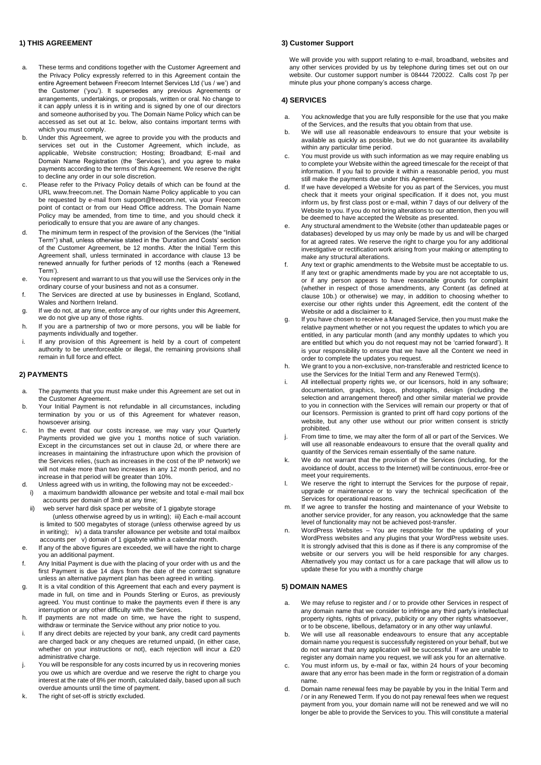#### **1) THIS AGREEMENT**

- a. These terms and conditions together with the Customer Agreement and the Privacy Policy expressly referred to in this Agreement contain the entire Agreement between Freecom Internet Services Ltd ('us / we') and the Customer ('you'). It supersedes any previous Agreements or arrangements, undertakings, or proposals, written or oral. No change to it can apply unless it is in writing and is signed by one of our directors and someone authorised by you. The Domain Name Policy which can be accessed as set out at 1c. below, also contains important terms with which you must comply.
- b. Under this Agreement, we agree to provide you with the products and services set out in the Customer Agreement, which include, as applicable, Website construction; Hosting; Broadband; E-mail and Domain Name Registration (the 'Services'), and you agree to make payments according to the terms of this Agreement. We reserve the right to decline any order in our sole discretion.
- c. Please refer to the Privacy Policy details of which can be found at the URL www.freecom.net. The Domain Name Policy applicable to you can be requested by e-mail from support@freecom.net, via your Freecom point of contact or from our Head Office address. The Domain Name Policy may be amended, from time to time, and you should check it periodically to ensure that you are aware of any changes.
- d. The minimum term in respect of the provision of the Services (the "Initial Term") shall, unless otherwise stated in the 'Duration and Costs' section of the Customer Agreement, be 12 months. After the Initial Term this Agreement shall, unless terminated in accordance with clause 13 be renewed annually for further periods of 12 months (each a 'Renewed Term').
- e. You represent and warrant to us that you will use the Services only in the ordinary course of your business and not as a consumer.
- f. The Services are directed at use by businesses in England, Scotland, Wales and Northern Ireland.
- g. If we do not, at any time, enforce any of our rights under this Agreement, we do not give up any of those rights.
- h. If you are a partnership of two or more persons, you will be liable for payments individually and together.
- i. If any provision of this Agreement is held by a court of competent authority to be unenforceable or illegal, the remaining provisions shall remain in full force and effect.

# **2) PAYMENTS**

- a. The payments that you must make under this Agreement are set out in the Customer Agreement.
- b. Your Initial Payment is not refundable in all circumstances, including termination by you or us of this Agreement for whatever reason, howsoever arising.
- c. In the event that our costs increase, we may vary your Quarterly Payments provided we give you 1 months notice of such variation. Except in the circumstances set out in clause 2d, or where there are increases in maintaining the infrastructure upon which the provision of the Services relies, (such as increases in the cost of the IP network) we will not make more than two increases in any 12 month period, and no increase in that period will be greater than 10%.
- d. Unless agreed with us in writing, the following may not be exceeded: i) a maximum bandwidth allowance per website and total e-mail mail box
- accounts per domain of 3mb at any time; ii) web server hard disk space per website of 1 gigabyte storage (unless otherwise agreed by us in writing); iii) Each e-mail account is limited to 500 megabytes of storage (unless otherwise agreed by us in writing); iv) a data transfer allowance per website and total mailbox accounts per v) domain of 1 gigabyte within a calendar month.
- If any of the above figures are exceeded, we will have the right to charge you an additional payment.
- f. Any Initial Payment is due with the placing of your order with us and the first Payment is due 14 days from the date of the contract signature unless an alternative payment plan has been agreed in writing.
- g. It is a vital condition of this Agreement that each and every payment is made in full, on time and in Pounds Sterling or Euros, as previously agreed. You must continue to make the payments even if there is any interruption or any other difficulty with the Services.
- h. If payments are not made on time, we have the right to suspend, withdraw or terminate the Service without any prior notice to you.
- i. If any direct debits are rejected by your bank, any credit card payments are charged back or any cheques are returned unpaid, (in either case, whether on your instructions or not), each rejection will incur a £20 administrative charge.
- j. You will be responsible for any costs incurred by us in recovering monies you owe us which are overdue and we reserve the right to charge you interest at the rate of 8% per month, calculated daily, based upon all such overdue amounts until the time of payment.
- The right of set-off is strictly excluded.

#### **3) Customer Support**

We will provide you with support relating to e-mail, broadband, websites and any other services provided by us by telephone during times set out on our website. Our customer support number is 08444 720022. Calls cost 7p per minute plus your phone company's access charge.

#### **4) SERVICES**

- a. You acknowledge that you are fully responsible for the use that you make of the Services, and the results that you obtain from that use.
- b. We will use all reasonable endeavours to ensure that your website is available as quickly as possible, but we do not guarantee its availability within any particular time period.
- c. You must provide us with such information as we may require enabling us to complete your Website within the agreed timescale for the receipt of that information. If you fail to provide it within a reasonable period, you must still make the payments due under this Agreement.
- d. If we have developed a Website for you as part of the Services, you must check that it meets your original specification. If it does not, you must inform us, by first class post or e-mail, within 7 days of our delivery of the Website to you. If you do not bring alterations to our attention, then you will be deemed to have accepted the Website as presented.
- e. Any structural amendment to the Website (other than updateable pages or databases) developed by us may only be made by us and will be charged for at agreed rates. We reserve the right to charge you for any additional investigative or rectification work arising from your making or attempting to make any structural alterations.
- f. Any text or graphic amendments to the Website must be acceptable to us. If any text or graphic amendments made by you are not acceptable to us, or if any person appears to have reasonable grounds for complaint (whether in respect of those amendments, any Content (as defined at clause 10b.) or otherwise) we may, in addition to choosing whether to exercise our other rights under this Agreement, edit the content of the Website or add a disclaimer to it.
- g. If you have chosen to receive a Managed Service, then you must make the relative payment whether or not you request the updates to which you are entitled, in any particular month (and any monthly updates to which you are entitled but which you do not request may not be 'carried forward'). It is your responsibility to ensure that we have all the Content we need in order to complete the updates you request.
- h. We grant to you a non-exclusive, non-transferable and restricted licence to use the Services for the Initial Term and any Renewed Term(s).
- i. All intellectual property rights we, or our licensors, hold in any software; documentation, graphics, logos, photographs, design (including the selection and arrangement thereof) and other similar material we provide to you in connection with the Services will remain our property or that of our licensors. Permission is granted to print off hard copy portions of the website, but any other use without our prior written consent is strictly prohibited.
- j. From time to time, we may alter the form of all or part of the Services. We will use all reasonable endeavours to ensure that the overall quality and quantity of the Services remain essentially of the same nature.
- k. We do not warrant that the provision of the Services (including, for the avoidance of doubt, access to the Internet) will be continuous, error-free or meet your requirements.
- l. We reserve the right to interrupt the Services for the purpose of repair, upgrade or maintenance or to vary the technical specification of the Services for operational reasons.
- m. If we agree to transfer the hosting and maintenance of your Website to another service provider, for any reason, you acknowledge that the same level of functionality may not be achieved post-transfer.
- n. WordPress Websites You are responsible for the updating of your WordPress websites and any plugins that your WordPress website uses. It is strongly advised that this is done as if there is any compromise of the website or our servers you will be held responsible for any charges. Alternatively you may contact us for a care package that will allow us to update these for you with a monthly charge

#### **5) DOMAIN NAMES**

- a. We may refuse to register and / or to provide other Services in respect of any domain name that we consider to infringe any third party's intellectual property rights, rights of privacy, publicity or any other rights whatsoever, or to be obscene, libellous, defamatory or in any other way unlawful.
- b. We will use all reasonable endeavours to ensure that any acceptable domain name you request is successfully registered on your behalf, but we do not warrant that any application will be successful. If we are unable to register any domain name you request, we will ask you for an alternative.
- c. You must inform us, by e-mail or fax, within 24 hours of your becoming aware that any error has been made in the form or registration of a domain name.
- d. Domain name renewal fees may be payable by you in the Initial Term and / or in any Renewed Term. If you do not pay renewal fees when we request payment from you, your domain name will not be renewed and we will no longer be able to provide the Services to you. This will constitute a material